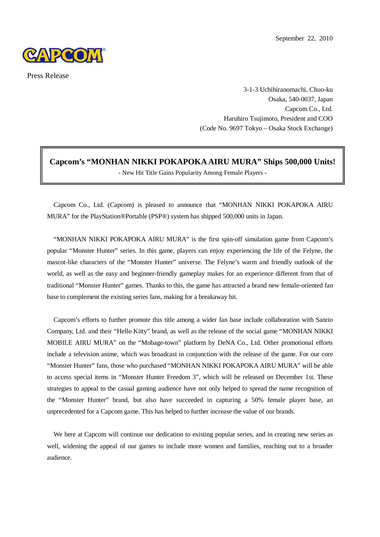

Press Release

3-1-3 Uchihiranomachi, Chuo-ku Osaka, 540-0037, Japan Capcom Co., Ltd. Haruhiro Tsujimoto, President and COO (Code No. 9697 Tokyo – Osaka Stock Exchange)

**Capcom's "MONHAN NIKKI POKAPOKA AIRU MURA" Ships 500,000 Units!** - New Hit Title Gains Popularity Among Female Players -

Capcom Co., Ltd. (Capcom) is pleased to announce that "MONHAN NIKKI POKAPOKA AIRU MURA" for the PlayStation®Portable (PSP®) system has shipped 500,000 units in Japan.

"MONHAN NIKKI POKAPOKA AIRU MURA" is the first spin-off simulation game from Capcom's popular "Monster Hunter" series. In this game, players can enjoy experiencing the life of the Felyne, the mascot-like characters of the "Monster Hunter" universe. The Felyne's warm and friendly outlook of the world, as well as the easy and beginner-friendly gameplay makes for an experience different from that of traditional "Monster Hunter" games. Thanks to this, the game has attracted a brand new female-oriented fan base to complement the existing series fans, making for a breakaway hit.

Capcom's efforts to further promote this title among a wider fan base include collaboration with Sanrio Company, Ltd. and their "Hello Kitty" brand, as well as the release of the social game "MONHAN NIKKI MOBILE AIRU MURA" on the "Mobage-town" platform by DeNA Co., Ltd. Other promotional efforts include a television anime, which was broadcast in conjunction with the release of the game. For our core "Monster Hunter" fans, those who purchased "MONHAN NIKKI POKAPOKA AIRU MURA" will be able to access special items in "Monster Hunter Freedom 3", which will be released on December 1st. These strategies to appeal to the casual gaming audience have not only helped to spread the name recognition of the "Monster Hunter" brand, but also have succeeded in capturing a 50% female player base, an unprecedented for a Capcom game. This has helped to further increase the value of our brands.

We here at Capcom will continue our dedication to existing popular series, and in creating new series as well, widening the appeal of our games to include more women and families, reaching out to a broader audience.